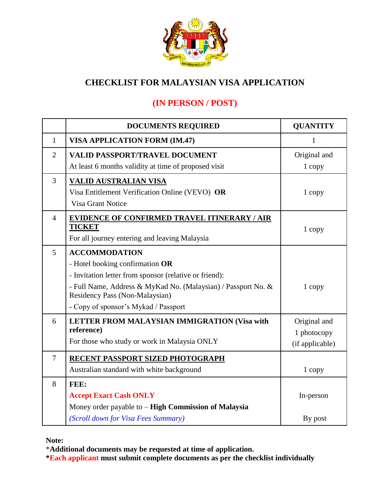

# **CHECKLIST FOR MALAYSIAN VISA APPLICATION**

# **(IN PERSON / POST)**

|                | <b>DOCUMENTS REQUIRED</b>                                                                       | <b>QUANTITY</b> |  |
|----------------|-------------------------------------------------------------------------------------------------|-----------------|--|
| $\mathbf{1}$   | <b>VISA APPLICATION FORM (IM.47)</b>                                                            | 1               |  |
| $\overline{2}$ | <b>VALID PASSPORT/TRAVEL DOCUMENT</b>                                                           | Original and    |  |
|                | At least 6 months validity at time of proposed visit                                            | 1 copy          |  |
| 3              | <b>VALID AUSTRALIAN VISA</b>                                                                    |                 |  |
|                | Visa Entitlement Verification Online (VEVO) OR                                                  | 1 copy          |  |
|                | <b>Visa Grant Notice</b>                                                                        |                 |  |
| $\overline{4}$ | <b>EVIDENCE OF CONFIRMED TRAVEL ITINERARY / AIR</b>                                             |                 |  |
|                | <b>TICKET</b>                                                                                   | 1 copy          |  |
|                | For all journey entering and leaving Malaysia                                                   |                 |  |
| 5              | <b>ACCOMMODATION</b>                                                                            |                 |  |
|                | - Hotel booking confirmation OR                                                                 |                 |  |
|                | - Invitation letter from sponsor (relative or friend):                                          |                 |  |
|                | - Full Name, Address & MyKad No. (Malaysian) / Passport No. &<br>Residency Pass (Non-Malaysian) | 1 copy          |  |
|                | - Copy of sponsor's Mykad / Passport                                                            |                 |  |
| 6              | LETTER FROM MALAYSIAN IMMIGRATION (Visa with                                                    | Original and    |  |
|                | reference)                                                                                      | 1 photocopy     |  |
|                | For those who study or work in Malaysia ONLY                                                    | (if applicable) |  |
| 7              | RECENT PASSPORT SIZED PHOTOGRAPH                                                                |                 |  |
|                | Australian standard with white background                                                       | 1 copy          |  |
| 8              | FEE:                                                                                            |                 |  |
|                | <b>Accept Exact Cash ONLY</b>                                                                   | In-person       |  |
|                | Money order payable to $-$ High Commission of Malaysia                                          |                 |  |
|                | (Scroll down for Visa Fees Summary)                                                             | By post         |  |

**Note:**

\***Additional documents may be requested at time of application.**

**\*Each applicant must submit complete documents as per the checklist individually**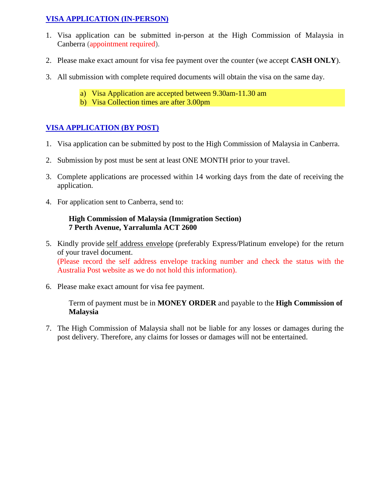#### **VISA APPLICATION (IN-PERSON)**

- 1. Visa application can be submitted in-person at the High Commission of Malaysia in Canberra (appointment required).
- 2. Please make exact amount for visa fee payment over the counter (we accept **CASH ONLY**).
- 3. All submission with complete required documents will obtain the visa on the same day.
	- a) Visa Application are accepted between 9.30am-11.30 am
	- b) Visa Collection times are after 3.00pm

### **VISA APPLICATION (BY POST)**

- 1. Visa application can be submitted by post to the High Commission of Malaysia in Canberra.
- 2. Submission by post must be sent at least ONE MONTH prior to your travel.
- 3. Complete applications are processed within 14 working days from the date of receiving the application.
- 4. For application sent to Canberra, send to:

### **High Commission of Malaysia (Immigration Section) 7 Perth Avenue, Yarralumla ACT 2600**

- 5. Kindly provide self address envelope (preferably Express/Platinum envelope) for the return of your travel document. (Please record the self address envelope tracking number and check the status with the Australia Post website as we do not hold this information).
- 6. Please make exact amount for visa fee payment.

Term of payment must be in **MONEY ORDER** and payable to the **High Commission of Malaysia**

7. The High Commission of Malaysia shall not be liable for any losses or damages during the post delivery. Therefore, any claims for losses or damages will not be entertained.